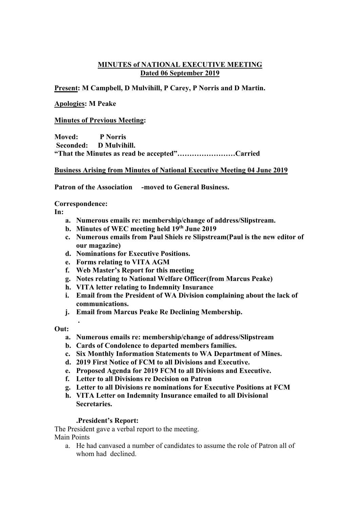## **MINUTES of NATIONAL EXECUTIVE MEETING Dated 06 September 2019**

**Present: M Campbell, D Mulvihill, P Carey, P Norris and D Martin.**

## **Apologies: M Peake**

## **Minutes of Previous Meeting:**

**Moved: P Norris Seconded: D Mulvihill. "That the Minutes as read be accepted"……………………Carried**

### **Business Arising from Minutes of National Executive Meeting 04 June 2019**

**Patron of the Association -moved to General Business.**

**Correspondence:**

**In:** 

- **a. Numerous emails re: membership/change of address/Slipstream.**
- **b. Minutes of WEC meeting held 19th June 2019**
- **c. Numerous emails from Paul Shiels re Slipstream(Paul is the new editor of our magazine)**
- **d. Nominations for Executive Positions.**
- **e. Forms relating to VITA AGM**
- **f. Web Master's Report for this meeting**
- **g. Notes relating to National Welfare Officer(from Marcus Peake)**
- **h. VITA letter relating to Indemnity Insurance**
- **i. Email from the President of WA Division complaining about the lack of communications.**
- **j. Email from Marcus Peake Re Declining Membership.**

## **Out:**

**.**

- **a. Numerous emails re: membership/change of address/Slipstream**
- **b. Cards of Condolence to departed members families.**
- **c. Six Monthly Information Statements to WA Department of Mines.**
- **d. 2019 First Notice of FCM to all Divisions and Executive.**
- **e. Proposed Agenda for 2019 FCM to all Divisions and Executive.**
- **f. Letter to all Divisions re Decision on Patron**
- **g. Letter to all Divisions re nominations for Executive Positions at FCM**
- **h. VITA Letter on Indemnity Insurance emailed to all Divisional Secretaries.**

## **.President's Report:**

The President gave a verbal report to the meeting. Main Points

a. He had canvased a number of candidates to assume the role of Patron all of whom had declined.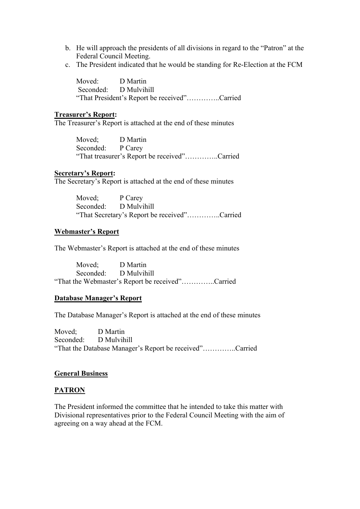- b. He will approach the presidents of all divisions in regard to the "Patron" at the Federal Council Meeting.
- c. The President indicated that he would be standing for Re-Election at the FCM

Moved: D Martin Seconded: D Mulvihill "That President's Report be received"…………..Carried

### **Treasurer's Report:**

The Treasurer's Report is attached at the end of these minutes

Moved; D Martin Seconded: P Carey "That treasurer's Report be received"…………..Carried

### **Secretary's Report:**

The Secretary's Report is attached at the end of these minutes

Moved; P Carey Seconded: D Mulvihill "That Secretary's Report be received"…………..Carried

### **Webmaster's Report**

The Webmaster's Report is attached at the end of these minutes

Moved; D Martin Seconded: D Mulvihill "That the Webmaster's Report be received"…………..Carried

#### **Database Manager's Report**

The Database Manager's Report is attached at the end of these minutes

Moved; D Martin Seconded: D Mulvihill "That the Database Manager's Report be received"…………..Carried

#### **General Business**

#### **PATRON**

The President informed the committee that he intended to take this matter with Divisional representatives prior to the Federal Council Meeting with the aim of agreeing on a way ahead at the FCM.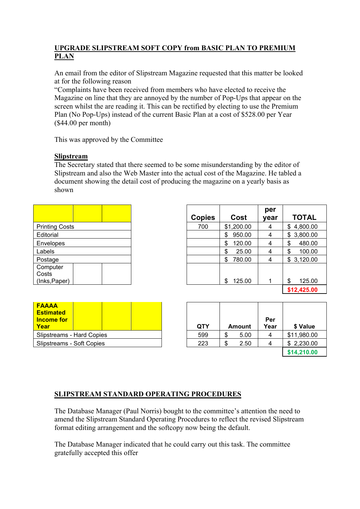# **UPGRADE SLIPSTREAM SOFT COPY from BASIC PLAN TO PREMIUM PLAN**

An email from the editor of Slipstream Magazine requested that this matter be looked at for the following reason

"Complaints have been received from members who have elected to receive the Magazine on line that they are annoyed by the number of Pop-Ups that appear on the screen whilst the are reading it. This can be rectified by electing to use the Premium Plan (No Pop-Ups) instead of the current Basic Plan at a cost of \$528.00 per Year (\$44.00 per month)

This was approved by the Committee

## **Slipstream**

The Secretary stated that there seemed to be some misunderstanding by the editor of Slipstream and also the Web Master into the actual cost of the Magazine. He tabled a document showing the detail cost of producing the magazine on a yearly basis as shown

| <b>Printing Costs</b> |  |
|-----------------------|--|
| Editorial             |  |
| Envelopes             |  |
| Labels                |  |
| Postage               |  |
| Computer              |  |
| Costs                 |  |
| (Inks, Paper)         |  |

|                       |               |              | per  |              |
|-----------------------|---------------|--------------|------|--------------|
|                       | <b>Copies</b> | Cost         | year | <b>TOTAL</b> |
| <b>Printing Costs</b> | 700           | \$1,200.00   | 4    | \$4,800.00   |
| Editorial             |               | 950.00<br>\$ | 4    | \$3,800.00   |
| Envelopes             |               | 120.00<br>S  | 4    | 480.00<br>\$ |
|                       |               | \$<br>25.00  | 4    | \$<br>100.00 |
|                       |               | 780.00<br>\$ | 4    | \$3,120.00   |
|                       |               | 125.00<br>\$ |      | 125.00<br>\$ |
|                       |               |              |      | \$12,425.00  |

| <b>FAAAA</b><br><b>Estimated</b><br><b>Income for</b><br>Year |  | QTY | Amount |
|---------------------------------------------------------------|--|-----|--------|
| Slipstreams - Hard Copies                                     |  | 599 | 5.00   |
| Slipstreams - Soft Copies                                     |  | 223 | 2.50   |

| <b>FAAAA</b><br><b>Estimated</b><br><b>Income for</b><br>Year | <b>QTY</b> | <b>Amount</b> | Per<br>Year | \$ Value    |
|---------------------------------------------------------------|------------|---------------|-------------|-------------|
| Slipstreams - Hard Copies                                     | 599        | 5.00          |             | \$11,980.00 |
| Slipstreams - Soft Copies                                     | 223        | 2.50          | 4           | \$2,230.00  |
|                                                               |            |               |             | \$14,210.00 |

# **SLIPSTREAM STANDARD OPERATING PROCEDURES**

The Database Manager (Paul Norris) bought to the committee's attention the need to amend the Slipstream Standard Operating Procedures to reflect the revised Slipstream format editing arrangement and the softcopy now being the default.

The Database Manager indicated that he could carry out this task. The committee gratefully accepted this offer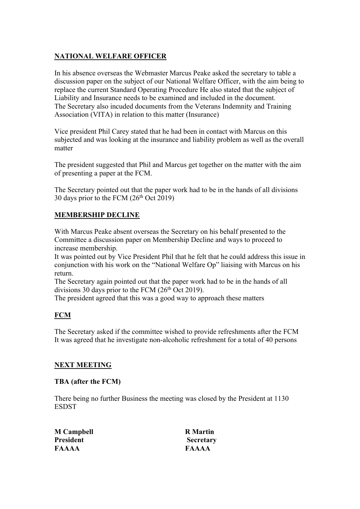# **NATIONAL WELFARE OFFICER**

In his absence overseas the Webmaster Marcus Peake asked the secretary to table a discussion paper on the subject of our National Welfare Officer, with the aim being to replace the current Standard Operating Procedure He also stated that the subject of Liability and Insurance needs to be examined and included in the document. The Secretary also incuded documents from the Veterans Indemnity and Training Association (VITA) in relation to this matter (Insurance)

Vice president Phil Carey stated that he had been in contact with Marcus on this subjected and was looking at the insurance and liability problem as well as the overall matter

The president suggested that Phil and Marcus get together on the matter with the aim of presenting a paper at the FCM.

The Secretary pointed out that the paper work had to be in the hands of all divisions 30 days prior to the FCM  $(26<sup>th</sup> Oct 2019)$ 

# **MEMBERSHIP DECLINE**

With Marcus Peake absent overseas the Secretary on his behalf presented to the Committee a discussion paper on Membership Decline and ways to proceed to increase membership.

It was pointed out by Vice President Phil that he felt that he could address this issue in conjunction with his work on the "National Welfare Op" liaising with Marcus on his return.

The Secretary again pointed out that the paper work had to be in the hands of all divisions 30 days prior to the FCM ( $26<sup>th</sup>$  Oct 2019).

The president agreed that this was a good way to approach these matters

# **FCM**

The Secretary asked if the committee wished to provide refreshments after the FCM It was agreed that he investigate non-alcoholic refreshment for a total of 40 persons

## **NEXT MEETING**

## **TBA (after the FCM)**

There being no further Business the meeting was closed by the President at 1130 ESDST

| <b>M</b> Campbell | <b>R</b> Martin  |
|-------------------|------------------|
| <b>President</b>  | <b>Secretary</b> |
| <b>FAAAA</b>      | FAAAA            |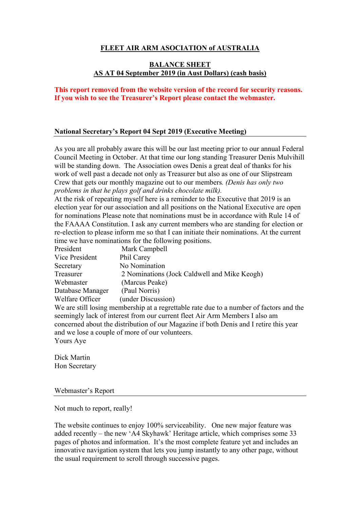## **FLEET AIR ARM ASOCIATION of AUSTRALIA**

## **BALANCE SHEET AS AT 04 September 2019 (in Aust Dollars) (cash basis)**

## **This report removed from the website version of the record for security reasons. If you wish to see the Treasurer's Report please contact the webmaster.**

### **National Secretary's Report 04 Sept 2019 (Executive Meeting)**

As you are all probably aware this will be our last meeting prior to our annual Federal Council Meeting in October. At that time our long standing Treasurer Denis Mulvihill will be standing down. The Association owes Denis a great deal of thanks for his work of well past a decade not only as Treasurer but also as one of our Slipstream Crew that gets our monthly magazine out to our members*. (Denis has only two problems in that he plays golf and drinks chocolate milk).*

At the risk of repeating myself here is a reminder to the Executive that 2019 is an election year for our association and all positions on the National Executive are open for nominations Please note that nominations must be in accordance with Rule 14 of the FAAAA Constitution. I ask any current members who are standing for election or re-election to please inform me so that I can initiate their nominations. At the current time we have nominations for the following positions.

| President        | Mark Campbell                                                                           |
|------------------|-----------------------------------------------------------------------------------------|
| Vice President   | Phil Carey                                                                              |
| Secretary        | No Nomination                                                                           |
| Treasurer        | 2 Nominations (Jock Caldwell and Mike Keogh)                                            |
| Webmaster        | (Marcus Peake)                                                                          |
| Database Manager | (Paul Norris)                                                                           |
| Welfare Officer  | (under Discussion)                                                                      |
|                  | We are still losing membership at a regrettable rate due to a number of factors and the |
|                  | seemingly lack of interest from our current fleet Air Arm Members I also am             |
|                  | concerned about the distribution of our Magazine if both Denis and I retire this year   |

and we lose a couple of more of our volunteers. Yours Aye

Dick Martin Hon Secretary

#### Webmaster's Report

Not much to report, really!

The website continues to enjoy 100% serviceability. One new major feature was added recently – the new 'A4 Skyhawk' Heritage article, which comprises some 33 pages of photos and information. It's the most complete feature yet and includes an innovative navigation system that lets you jump instantly to any other page, without the usual requirement to scroll through successive pages.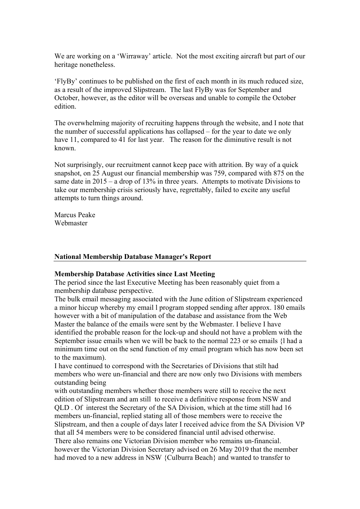We are working on a 'Wirraway' article. Not the most exciting aircraft but part of our heritage nonetheless.

'FlyBy' continues to be published on the first of each month in its much reduced size, as a result of the improved Slipstream. The last FlyBy was for September and October, however, as the editor will be overseas and unable to compile the October edition.

The overwhelming majority of recruiting happens through the website, and I note that the number of successful applications has collapsed – for the year to date we only have 11, compared to 41 for last year. The reason for the diminutive result is not known.

Not surprisingly, our recruitment cannot keep pace with attrition. By way of a quick snapshot, on 25 August our financial membership was 759, compared with 875 on the same date in 2015 – a drop of 13% in three years. Attempts to motivate Divisions to take our membership crisis seriously have, regrettably, failed to excite any useful attempts to turn things around.

Marcus Peake Webmaster

#### **National Membership Database Manager's Report**

## **Membership Database Activities since Last Meeting**

The period since the last Executive Meeting has been reasonably quiet from a membership database perspective.

The bulk email messaging associated with the June edition of Slipstream experienced a minor hiccup whereby my email l program stopped sending after approx. 180 emails however with a bit of manipulation of the database and assistance from the Web Master the balance of the emails were sent by the Webmaster. I believe I have identified the probable reason for the lock-up and should not have a problem with the September issue emails when we will be back to the normal 223 or so emails {l had a minimum time out on the send function of my email program which has now been set to the maximum).

I have continued to correspond with the Secretaries of Divisions that stilt had members who were un-financial and there are now only two Divisions with members outstanding being

with outstanding members whether those members were still to receive the next edition of Slipstream and am still to receive a definitive response from NSW and QLD . Of interest the Secretary of the SA Division, which at the time still had 16 members un-financial, replied stating all of those members were to receive the Slipstream, and then a couple of days later I received advice from the SA Division VP that all 54 members were to be considered financial until advised otherwise. There also remains one Victorian Division member who remains un-financial. however the Victorian Division Secretary advised on 26 May 2019 that the member had moved to a new address in NSW {Culburra Beach} and wanted to transfer to